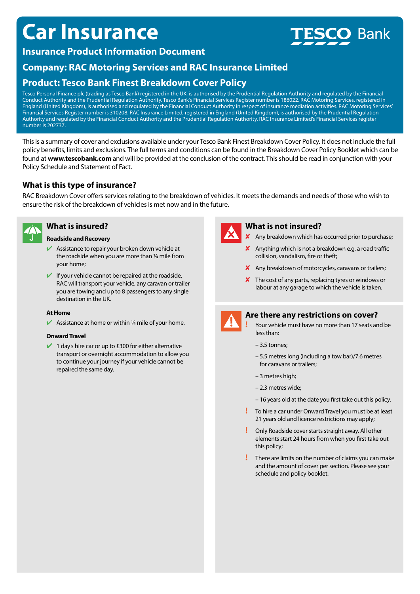# **Car Insurance**

# **Bank**

# **Insurance Product Information Document**

# **Company: RAC Motoring Services and RAC Insurance Limited**

# **Product: Tesco Bank Finest Breakdown Cover Policy**

Tesco Personal Finance plc (trading as Tesco Bank) registered in the UK, is authorised by the Prudential Regulation Authority and regulated by the Financial Conduct Authority and the Prudential Regulation Authority. Tesco Bank's Financial Services Register number is 186022. RAC Motoring Services, registered in England (United Kingdom), is authorised and regulated by the Financial Conduct Authority in respect of insurance mediation activities. RAC Motoring Services' Financial Services Register number is 310208. RAC Insurance Limited, registered in England (United Kingdom), is authorised by the Prudential Regulation Authority and regulated by the Financial Conduct Authority and the Prudential Regulation Authority. RAC Insurance Limited's Financial Services register number is 202737.

This is a summary of cover and exclusions available under your Tesco Bank Finest Breakdown Cover Policy. It does not include the full policy benefits, limits and exclusions. The full terms and conditions can be found in the Breakdown Cover Policy Booklet which can be found at **www.tescobank.com** and will be provided at the conclusion of the contract. This should be read in conjunction with your Policy Schedule and Statement of Fact.

## **What is this type of insurance?**

RAC Breakdown Cover offers services relating to the breakdown of vehicles. It meets the demands and needs of those who wish to ensure the risk of the breakdown of vehicles is met now and in the future.



## **What is insured?**

#### **Roadside and Recovery**

- $\blacktriangleright$  Assistance to repair your broken down vehicle at the roadside when you are more than ¼ mile from your home;
- $\blacktriangleright$  If your vehicle cannot be repaired at the roadside, RAC will transport your vehicle, any caravan or trailer you are towing and up to 8 passengers to any single destination in the UK.

#### **At Home**

Assistance at home or within  $\frac{1}{4}$  mile of your home.

#### **Onward Travel**

 $\blacktriangleright$  1 day's hire car or up to £300 for either alternative transport or overnight accommodation to allow you to continue your journey if your vehicle cannot be repaired the same day.



## **What is not insured?**

- $\boldsymbol{\times}$  Any breakdown which has occurred prior to purchase;
- $\boldsymbol{\mathsf{X}}$  Anything which is not a breakdown e.g. a road traffic collision, vandalism, fire or theft;
- $\boldsymbol{\mathsf{X}}$  Any breakdown of motorcycles, caravans or trailers;
- $\boldsymbol{\times}$  The cost of any parts, replacing tyres or windows or labour at any garage to which the vehicle is taken.



### **Are there any restrictions on cover?**

- **!** Your vehicle must have no more than 17 seats and be less than:
- 3.5 tonnes;
- 5.5 metres long (including a tow bar)/7.6 metres for caravans or trailers;
- 3 metres high;
- 2.3 metres wide;
- 16 years old at the date you first take out this policy.
- **!** To hire a car under Onward Travel you must be at least 21 years old and licence restrictions may apply;
- **!** Only Roadside cover starts straight away. All other elements start 24 hours from when you first take out this policy;
- **!** There are limits on the number of claims you can make and the amount of cover per section. Please see your schedule and policy booklet.